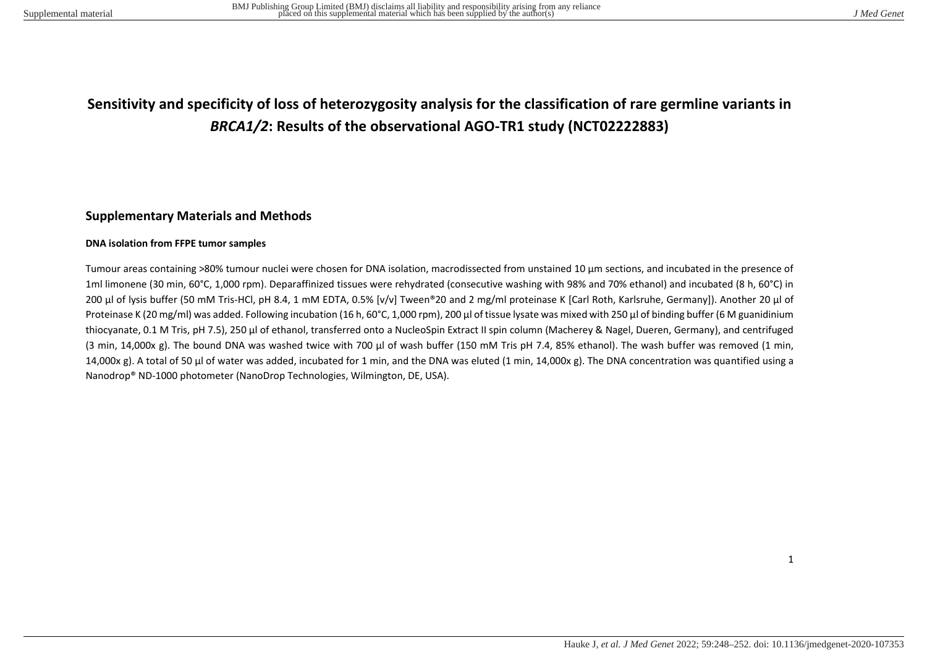## **Sensitivity and specificity of loss of heterozygosity analysis for the classification of rare germline variants in**  *BRCA1/2***: Results of the observational AGO-TR1 study (NCT02222883)**

## **Supplementary Materials and Methods**

## **DNA isolation from FFPE tumor samples**

Tumour areas containing >80% tumour nuclei were chosen for DNA isolation, macrodissected from unstained 10 µm sections, and incubated in the presence of 1ml limonene (30 min, 60°C, 1,000 rpm). Deparaffinized tissues were rehydrated (consecutive washing with 98% and 70% ethanol) and incubated (8 h, 60°C) in 200 µl of lysis buffer (50 mM Tris-HCl, pH 8.4, 1 mM EDTA, 0.5% [v/v] Tween®20 and 2 mg/ml proteinase K [Carl Roth, Karlsruhe, Germany]). Another 20 µl of Proteinase K (20 mg/ml) was added. Following incubation (16 h, 60°C, 1,000 rpm), 200 µl of tissue lysate was mixed with 250 µl of binding buffer (6 M guanidinium thiocyanate, 0.1 M Tris, pH 7.5), 250 µl of ethanol, transferred onto a NucleoSpin Extract II spin column (Macherey & Nagel, Dueren, Germany), and centrifuged (3 min, 14,000x g). The bound DNA was washed twice with 700 µl of wash buffer (150 mM Tris pH 7.4, 85% ethanol). The wash buffer was removed (1 min, 14,000x g). A total of 50 μl of water was added, incubated for 1 min, and the DNA was eluted (1 min, 14,000x g). The DNA concentration was quantified using a Nanodrop® ND-1000 photometer (NanoDrop Technologies, Wilmington, DE, USA).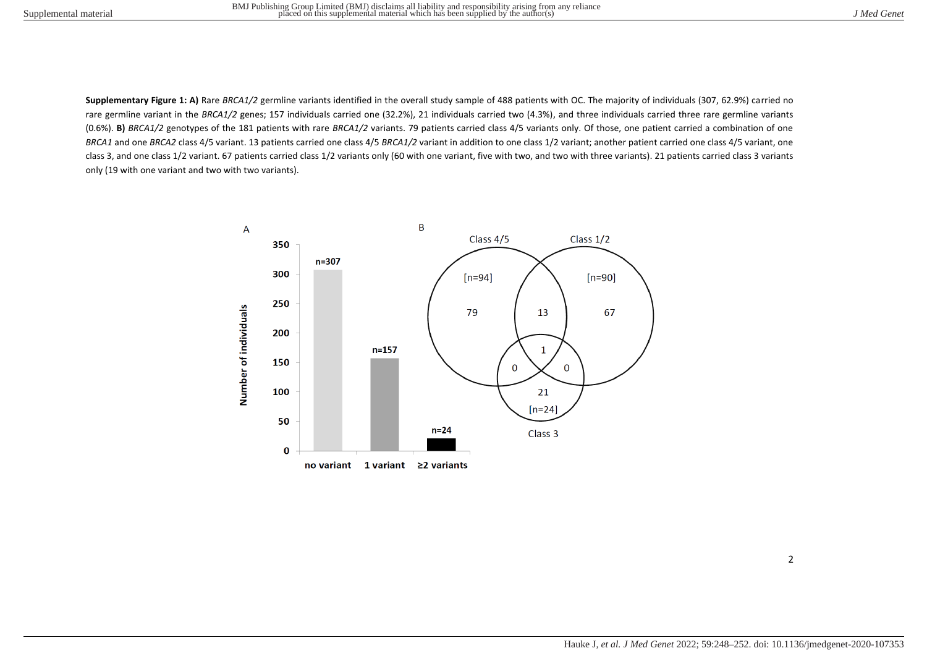**Supplementary Figure 1: A)** Rare *BRCA1/2* germline variants identified in the overall study sample of 488 patients with OC. The majority of individuals (307, 62.9%) carried no rare germline variant in the BRCA1/2 genes; 157 individuals carried one (32.2%), 21 individuals carried two (4.3%), and three individuals carried three rare germline variants (0.6%). **B)** *BRCA1/2* genotypes of the 181 patients with rare *BRCA1/2* variants. 79 patients carried class 4/5 variants only. Of those, one patient carried a combination of one *BRCA1* and one *BRCA2* class 4/5 variant. 13 patients carried one class 4/5 *BRCA1/2* variant in addition to one class 1/2 variant; another patient carried one class 4/5 variant, one class 3, and one class 1/2 variant. 67 patients carried class 1/2 variants only (60 with one variant, five with two, and two with three variants). 21 patients carried class 3 variants only (19 with one variant and two with two variants).

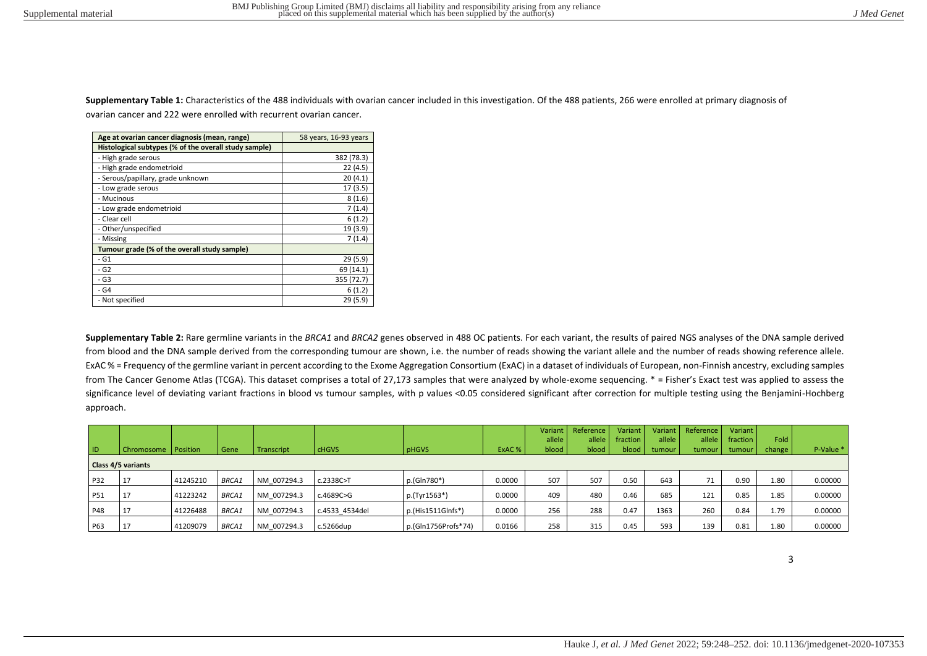**Supplementary Table 1:** Characteristics of the 488 individuals with ovarian cancer included in this investigation. Of the 488 patients, 266 were enrolled at primary diagnosis of ovarian cancer and 222 were enrolled with recurrent ovarian cancer.

| Age at ovarian cancer diagnosis (mean, range)         | 58 years, 16-93 years |
|-------------------------------------------------------|-----------------------|
| Histological subtypes (% of the overall study sample) |                       |
| - High grade serous                                   | 382 (78.3)            |
| - High grade endometrioid                             | 22(4.5)               |
| - Serous/papillary, grade unknown                     | 20(4.1)               |
| - Low grade serous                                    | 17(3.5)               |
| - Mucinous                                            | 8(1.6)                |
| - Low grade endometrioid                              | 7(1.4)                |
| - Clear cell                                          | 6(1.2)                |
| - Other/unspecified                                   | 19 (3.9)              |
| - Missing                                             | 7(1.4)                |
| Tumour grade (% of the overall study sample)          |                       |
| $- G1$                                                | 29 (5.9)              |
| - G2                                                  | 69 (14.1)             |
| - G3                                                  | 355 (72.7)            |
| - G4                                                  | 6(1.2)                |
| - Not specified                                       | 29(5.9)               |

**Supplementary Table 2:** Rare germline variants in the *BRCA1* and *BRCA2* genes observed in 488 OC patients. For each variant, the results of paired NGS analyses of the DNA sample derived from blood and the DNA sample derived from the corresponding tumour are shown, i.e. the number of reads showing the variant allele and the number of reads showing reference allele. ExAC % = Frequency of the germline variant in percent according to the Exome Aggregation Consortium (ExAC) in a dataset of individuals of European, non-Finnish ancestry, excluding samples from The Cancer Genome Atlas (TCGA). This dataset comprises a total of 27,173 samples that were analyzed by whole-exome sequencing. \* = Fisher's Exact test was applied to assess the significance level of deviating variant fractions in blood vs tumour samples, with p values <0.05 considered significant after correction for multiple testing using the Benjamini-Hochberg approach.

|           |                           |          |              |             |                |                     |        | Variant | Reference | Variant   | <b>Variant</b> | Reference | Variant  |        |           |
|-----------|---------------------------|----------|--------------|-------------|----------------|---------------------|--------|---------|-----------|-----------|----------------|-----------|----------|--------|-----------|
|           |                           |          |              |             |                |                     |        | allele  | allele    | fraction. | allele         | allele    | fraction | Fold   |           |
| <b>ID</b> | <b>Chromosome</b>         | Position | Gene         | Transcript  | <b>CHGVS</b>   | <b>pHGVS</b>        | ExAC%  | blood   | blood     | blood I   | tumour         | tumour    | tumour   | change | P-Value * |
|           | <b>Class 4/5 variants</b> |          |              |             |                |                     |        |         |           |           |                |           |          |        |           |
| P32       | 17                        | 41245210 | <b>BRCA1</b> | NM 007294.3 | c.2338C>T      | p.(Gln780*)         | 0.0000 | 507     | 507       | 0.50      | 643            | 71        | 0.90     | 1.80   | 0.00000   |
| P51       | 17                        | 41223242 | <b>BRCA1</b> | NM 007294.3 | c.4689C>G      | p.(Tyr1563*)        | 0.0000 | 409     | 480       | 0.46      | 685            | 121       | 0.85     | 1.85   | 0.00000   |
| P48       | 17                        | 41226488 | <b>BRCA1</b> | NM 007294.3 | c.4533 4534del | $p.(His1511GInfs*)$ | 0.0000 | 256     | 288       | 0.47      | 1363           | 260       | 0.84     | 1.79   | 0.00000   |
| P63       | 17                        | 41209079 | <b>BRCA1</b> | NM 007294.3 | c.5266dup      | p.(Gln1756Profs*74) | 0.0166 | 258     | 315       | 0.45      | 593            | 139       | 0.81     | 1.80   | 0.00000   |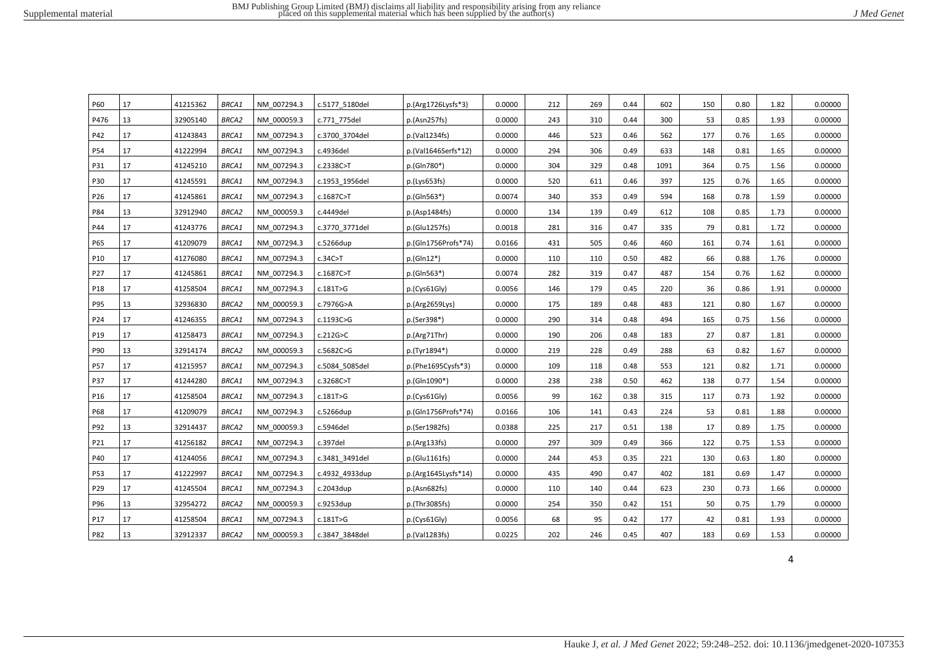|  | J Med Genet |
|--|-------------|
|  |             |

| <b>P60</b>      | 17 | 41215362 | <b>BRCA1</b> | NM 007294.3 | c.5177 5180del | p.(Arg1726Lysfs*3)   | 0.0000 | 212 | 269 | 0.44 | 602  | 150 | 0.80 | 1.82 | 0.00000 |
|-----------------|----|----------|--------------|-------------|----------------|----------------------|--------|-----|-----|------|------|-----|------|------|---------|
| P476            | 13 | 32905140 | BRCA2        | NM 000059.3 | c.771 775del   | p.(Asn257fs)         | 0.0000 | 243 | 310 | 0.44 | 300  | 53  | 0.85 | 1.93 | 0.00000 |
| P42             | 17 | 41243843 | BRCA1        | NM 007294.3 | c.3700 3704del | p.(Val1234fs)        | 0.0000 | 446 | 523 | 0.46 | 562  | 177 | 0.76 | 1.65 | 0.00000 |
| P54             | 17 | 41222994 | <b>BRCA1</b> | NM 007294.3 | c.4936del      | p.(Val1646Serfs*12)  | 0.0000 | 294 | 306 | 0.49 | 633  | 148 | 0.81 | 1.65 | 0.00000 |
| P31             | 17 | 41245210 | BRCA1        | NM 007294.3 | c.2338C>T      | p.(Gln780*)          | 0.0000 | 304 | 329 | 0.48 | 1091 | 364 | 0.75 | 1.56 | 0.00000 |
| P30             | 17 | 41245591 | <b>BRCA1</b> | NM 007294.3 | c.1953 1956del | p.(Lvs653fs)         | 0.0000 | 520 | 611 | 0.46 | 397  | 125 | 0.76 | 1.65 | 0.00000 |
| P26             | 17 | 41245861 | BRCA1        | NM 007294.3 | c.1687C>T      | p.(Gln563*)          | 0.0074 | 340 | 353 | 0.49 | 594  | 168 | 0.78 | 1.59 | 0.00000 |
| P84             | 13 | 32912940 | <b>BRCA2</b> | NM 000059.3 | c.4449del      | p.(Asp1484fs)        | 0.0000 | 134 | 139 | 0.49 | 612  | 108 | 0.85 | 1.73 | 0.00000 |
| P44             | 17 | 41243776 | <b>BRCA1</b> | NM 007294.3 | c.3770 3771del | p.(Glu1257fs)        | 0.0018 | 281 | 316 | 0.47 | 335  | 79  | 0.81 | 1.72 | 0.00000 |
| P65             | 17 | 41209079 | <b>BRCA1</b> | NM 007294.3 | c.5266dup      | p.(Gln1756Profs*74)  | 0.0166 | 431 | 505 | 0.46 | 460  | 161 | 0.74 | 1.61 | 0.00000 |
| P <sub>10</sub> | 17 | 41276080 | <b>BRCA1</b> | NM 007294.3 | c.34C > T      | $p.(Gln12*)$         | 0.0000 | 110 | 110 | 0.50 | 482  | 66  | 0.88 | 1.76 | 0.00000 |
| P27             | 17 | 41245861 | <b>BRCA1</b> | NM 007294.3 | c.1687C>T      | p.(Gln563*)          | 0.0074 | 282 | 319 | 0.47 | 487  | 154 | 0.76 | 1.62 | 0.00000 |
| P18             | 17 | 41258504 | <b>BRCA1</b> | NM 007294.3 | c.181T>G       | p.(Cys61Gly)         | 0.0056 | 146 | 179 | 0.45 | 220  | 36  | 0.86 | 1.91 | 0.00000 |
| P95             | 13 | 32936830 | <b>BRCA2</b> | NM 000059.3 | c.7976G>A      | p.(Arg2659Lys)       | 0.0000 | 175 | 189 | 0.48 | 483  | 121 | 0.80 | 1.67 | 0.00000 |
| P24             | 17 | 41246355 | <b>BRCA1</b> | NM 007294.3 | c.1193C>G      | p.(Ser398*)          | 0.0000 | 290 | 314 | 0.48 | 494  | 165 | 0.75 | 1.56 | 0.00000 |
| P19             | 17 | 41258473 | <b>BRCA1</b> | NM 007294.3 | c.212G > C     | p.(Arg71Thr)         | 0.0000 | 190 | 206 | 0.48 | 183  | 27  | 0.87 | 1.81 | 0.00000 |
| P90             | 13 | 32914174 | <b>BRCA2</b> | NM 000059.3 | c.5682C>G      | p.(Tyr1894*)         | 0.0000 | 219 | 228 | 0.49 | 288  | 63  | 0.82 | 1.67 | 0.00000 |
| P57             | 17 | 41215957 | <b>BRCA1</b> | NM 007294.3 | c.5084 5085del | $p.(Phe1695Cysfs*3)$ | 0.0000 | 109 | 118 | 0.48 | 553  | 121 | 0.82 | 1.71 | 0.00000 |
| P37             | 17 | 41244280 | <b>BRCA1</b> | NM 007294.3 | c.3268C>T      | p.(Gln1090*)         | 0.0000 | 238 | 238 | 0.50 | 462  | 138 | 0.77 | 1.54 | 0.00000 |
| P <sub>16</sub> | 17 | 41258504 | <b>BRCA1</b> | NM 007294.3 | c.181T>G       | p.(Cys61Gly)         | 0.0056 | 99  | 162 | 0.38 | 315  | 117 | 0.73 | 1.92 | 0.00000 |
| P68             | 17 | 41209079 | <b>BRCA1</b> | NM 007294.3 | c.5266dup      | p.(Gln1756Profs*74)  | 0.0166 | 106 | 141 | 0.43 | 224  | 53  | 0.81 | 1.88 | 0.00000 |
| P92             | 13 | 32914437 | <b>BRCA2</b> | NM 000059.3 | c.5946del      | p.(Ser1982fs)        | 0.0388 | 225 | 217 | 0.51 | 138  | 17  | 0.89 | 1.75 | 0.00000 |
| P21             | 17 | 41256182 | BRCA1        | NM 007294.3 | c.397del       | p.(Arg133fs)         | 0.0000 | 297 | 309 | 0.49 | 366  | 122 | 0.75 | 1.53 | 0.00000 |
| P40             | 17 | 41244056 | <i>BRCA1</i> | NM 007294.3 | c.3481 3491del | p.(Glu1161fs)        | 0.0000 | 244 | 453 | 0.35 | 221  | 130 | 0.63 | 1.80 | 0.00000 |
| P53             | 17 | 41222997 | <b>BRCA1</b> | NM 007294.3 | c.4932 4933dup | p.(Arg1645Lysfs*14)  | 0.0000 | 435 | 490 | 0.47 | 402  | 181 | 0.69 | 1.47 | 0.00000 |
| P29             | 17 | 41245504 | <b>BRCA1</b> | NM 007294.3 | c.2043dup      | p.(Asn682fs)         | 0.0000 | 110 | 140 | 0.44 | 623  | 230 | 0.73 | 1.66 | 0.00000 |
| P96             | 13 | 32954272 | <b>BRCA2</b> | NM 000059.3 | c.9253dup      | p.(Thr3085fs)        | 0.0000 | 254 | 350 | 0.42 | 151  | 50  | 0.75 | 1.79 | 0.00000 |
| P17             | 17 | 41258504 | BRCA1        | NM 007294.3 | c.181T>G       | p.(Cys61Gly)         | 0.0056 | 68  | 95  | 0.42 | 177  | 42  | 0.81 | 1.93 | 0.00000 |
| P82             | 13 | 32912337 | BRCA2        | NM 000059.3 | c.3847 3848del | p.(Val1283fs)        | 0.0225 | 202 | 246 | 0.45 | 407  | 183 | 0.69 | 1.53 | 0.00000 |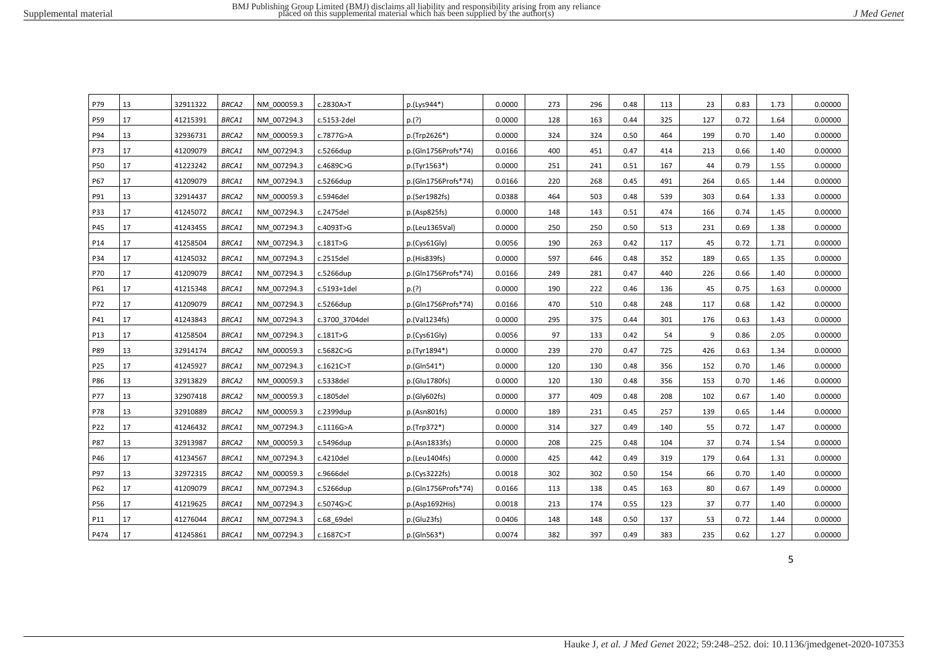| P79  | 13 | 32911322 | <b>BRCA2</b> | NM 000059.3 | c.2830A>T      | p.(Lys944*)               | 0.0000 | 273 | 296 | 0.48 | 113 | 23  | 0.83 | 1.73 | 0.00000 |
|------|----|----------|--------------|-------------|----------------|---------------------------|--------|-----|-----|------|-----|-----|------|------|---------|
| P59  | 17 | 41215391 | <b>BRCA1</b> | NM 007294.3 | c.5153-2del    | p.(?)                     | 0.0000 | 128 | 163 | 0.44 | 325 | 127 | 0.72 | 1.64 | 0.00000 |
| P94  | 13 | 32936731 | <b>BRCA2</b> | NM 000059.3 | c.7877G>A      | p.(Trp2626*)              | 0.0000 | 324 | 324 | 0.50 | 464 | 199 | 0.70 | 1.40 | 0.00000 |
| P73  | 17 | 41209079 | <b>BRCA1</b> | NM 007294.3 | c.5266dup      | p.(Gln1756Profs*74)       | 0.0166 | 400 | 451 | 0.47 | 414 | 213 | 0.66 | 1.40 | 0.00000 |
| P50  | 17 | 41223242 | <b>BRCA1</b> | NM 007294.3 | c.4689C>G      | p.(Tyr1563*)              | 0.0000 | 251 | 241 | 0.51 | 167 | 44  | 0.79 | 1.55 | 0.00000 |
| P67  | 17 | 41209079 | BRCA1        | NM 007294.3 | c.5266dup      | p.(Gln1756Profs*74)       | 0.0166 | 220 | 268 | 0.45 | 491 | 264 | 0.65 | 1.44 | 0.00000 |
| P91  | 13 | 32914437 | <b>BRCA2</b> | NM 000059.3 | c.5946del      | p.(Ser1982fs)             | 0.0388 | 464 | 503 | 0.48 | 539 | 303 | 0.64 | 1.33 | 0.00000 |
| P33  | 17 | 41245072 | <b>BRCA1</b> | NM 007294.3 | c.2475del      | p.(Asp825fs)              | 0.0000 | 148 | 143 | 0.51 | 474 | 166 | 0.74 | 1.45 | 0.00000 |
| P45  | 17 | 41243455 | <b>BRCA1</b> | NM_007294.3 | c.4093T>G      | p.(Leu1365Val)            | 0.0000 | 250 | 250 | 0.50 | 513 | 231 | 0.69 | 1.38 | 0.00000 |
| P14  | 17 | 41258504 | <b>BRCA1</b> | NM 007294.3 | c.181T>G       | p.(Cys61G <sub>l</sub> y) | 0.0056 | 190 | 263 | 0.42 | 117 | 45  | 0.72 | 1.71 | 0.00000 |
| P34  | 17 | 41245032 | BRCA1        | NM 007294.3 | c.2515del      | p.(His839fs)              | 0.0000 | 597 | 646 | 0.48 | 352 | 189 | 0.65 | 1.35 | 0.00000 |
| P70  | 17 | 41209079 | <b>BRCA1</b> | NM 007294.3 | c.5266dup      | p.(Gln1756Profs*74)       | 0.0166 | 249 | 281 | 0.47 | 440 | 226 | 0.66 | 1.40 | 0.00000 |
| P61  | 17 | 41215348 | BRCA1        | NM 007294.3 | c.5193+1del    | p.(?)                     | 0.0000 | 190 | 222 | 0.46 | 136 | 45  | 0.75 | 1.63 | 0.00000 |
| P72  | 17 | 41209079 | BRCA1        | NM 007294.3 | c.5266dup      | p.(Gln1756Profs*74)       | 0.0166 | 470 | 510 | 0.48 | 248 | 117 | 0.68 | 1.42 | 0.00000 |
| P41  | 17 | 41243843 | BRCA1        | NM 007294.3 | c.3700 3704del | p.(Val1234fs)             | 0.0000 | 295 | 375 | 0.44 | 301 | 176 | 0.63 | 1.43 | 0.00000 |
| P13  | 17 | 41258504 | BRCA1        | NM 007294.3 | c.181T>G       | p.(Cys61Gly)              | 0.0056 | 97  | 133 | 0.42 | 54  | 9   | 0.86 | 2.05 | 0.00000 |
| P89  | 13 | 32914174 | <b>BRCA2</b> | NM 000059.3 | c.5682C>G      | p.(Tyr1894*)              | 0.0000 | 239 | 270 | 0.47 | 725 | 426 | 0.63 | 1.34 | 0.00000 |
| P25  | 17 | 41245927 | BRCA1        | NM 007294.3 | c.1621C>T      | p.(Gln541*)               | 0.0000 | 120 | 130 | 0.48 | 356 | 152 | 0.70 | 1.46 | 0.00000 |
| P86  | 13 | 32913829 | <b>BRCA2</b> | NM 000059.3 | c.5338del      | p.(Glu1780fs)             | 0.0000 | 120 | 130 | 0.48 | 356 | 153 | 0.70 | 1.46 | 0.00000 |
| P77  | 13 | 32907418 | <b>BRCA2</b> | NM 000059.3 | c.1805del      | p.(Gly602fs)              | 0.0000 | 377 | 409 | 0.48 | 208 | 102 | 0.67 | 1.40 | 0.00000 |
| P78  | 13 | 32910889 | BRCA2        | NM 000059.3 | c.2399dup      | p.(Asn801fs)              | 0.0000 | 189 | 231 | 0.45 | 257 | 139 | 0.65 | 1.44 | 0.00000 |
| P22  | 17 | 41246432 | BRCA1        | NM 007294.3 | c.1116G>A      | p.(Trp372*)               | 0.0000 | 314 | 327 | 0.49 | 140 | 55  | 0.72 | 1.47 | 0.00000 |
| P87  | 13 | 32913987 | <b>BRCA2</b> | NM 000059.3 | c.5496dup      | p.(Asn1833fs)             | 0.0000 | 208 | 225 | 0.48 | 104 | 37  | 0.74 | 1.54 | 0.00000 |
| P46  | 17 | 41234567 | BRCA1        | NM 007294.3 | c.4210del      | p.(Leu1404fs)             | 0.0000 | 425 | 442 | 0.49 | 319 | 179 | 0.64 | 1.31 | 0.00000 |
| P97  | 13 | 32972315 | <b>BRCA2</b> | NM 000059.3 | c.9666del      | p.(Cys3222fs)             | 0.0018 | 302 | 302 | 0.50 | 154 | 66  | 0.70 | 1.40 | 0.00000 |
| P62  | 17 | 41209079 | <b>BRCA1</b> | NM 007294.3 | c.5266dup      | p.(Gln1756Profs*74)       | 0.0166 | 113 | 138 | 0.45 | 163 | 80  | 0.67 | 1.49 | 0.00000 |
| P56  | 17 | 41219625 | BRCA1        | NM 007294.3 | c.5074G>C      | p.(Asp1692His)            | 0.0018 | 213 | 174 | 0.55 | 123 | 37  | 0.77 | 1.40 | 0.00000 |
| P11  | 17 | 41276044 | BRCA1        | NM 007294.3 | c.68 69del     | p.(Glu23fs)               | 0.0406 | 148 | 148 | 0.50 | 137 | 53  | 0.72 | 1.44 | 0.00000 |
| P474 | 17 | 41245861 | BRCA1        | NM 007294.3 | c.1687C>T      | p.(Gln563*)               | 0.0074 | 382 | 397 | 0.49 | 383 | 235 | 0.62 | 1.27 | 0.00000 |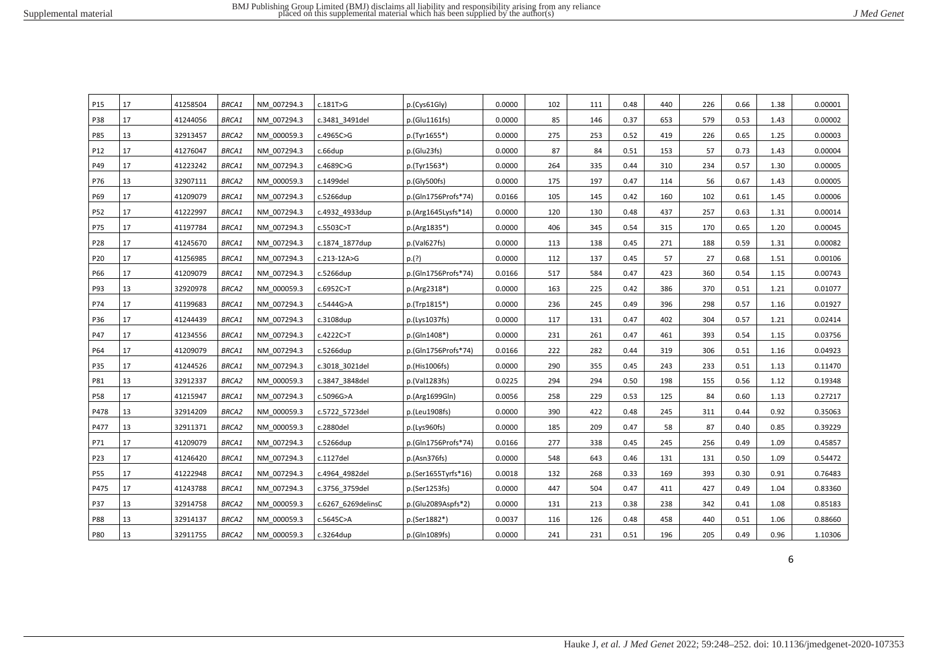| P <sub>15</sub> | 17 | 41258504 | <b>BRCA1</b> | NM 007294.3 | c.181T>G           | p.(Cys61Gly)        | 0.0000 | 102 | 111 | 0.48 | 440 | 226 | 0.66 | 1.38 | 0.00001 |
|-----------------|----|----------|--------------|-------------|--------------------|---------------------|--------|-----|-----|------|-----|-----|------|------|---------|
| <b>P38</b>      | 17 | 41244056 | <b>BRCA1</b> | NM 007294.3 | c.3481 3491del     | p.(Glu1161fs)       | 0.0000 | 85  | 146 | 0.37 | 653 | 579 | 0.53 | 1.43 | 0.00002 |
| P85             | 13 | 32913457 | <b>BRCA2</b> | NM 000059.3 | c.4965C>G          | p.(Tyr1655*)        | 0.0000 | 275 | 253 | 0.52 | 419 | 226 | 0.65 | 1.25 | 0.00003 |
| P12             | 17 | 41276047 | <b>BRCA1</b> | NM 007294.3 | c.66dup            | p.(Glu23fs)         | 0.0000 | 87  | 84  | 0.51 | 153 | 57  | 0.73 | 1.43 | 0.00004 |
| P49             | 17 | 41223242 | <b>BRCA1</b> | NM 007294.3 | c.4689C>G          | p.(Tyr1563*)        | 0.0000 | 264 | 335 | 0.44 | 310 | 234 | 0.57 | 1.30 | 0.00005 |
| P76             | 13 | 32907111 | <b>BRCA2</b> | NM 000059.3 | c.1499del          | p.(Gly500fs)        | 0.0000 | 175 | 197 | 0.47 | 114 | 56  | 0.67 | 1.43 | 0.00005 |
| P69             | 17 | 41209079 | BRCA1        | NM 007294.3 | c.5266dup          | p.(Gln1756Profs*74) | 0.0166 | 105 | 145 | 0.42 | 160 | 102 | 0.61 | 1.45 | 0.00006 |
| P52             | 17 | 41222997 | <b>BRCA1</b> | NM 007294.3 | c.4932 4933dup     | p.(Arg1645Lysfs*14) | 0.0000 | 120 | 130 | 0.48 | 437 | 257 | 0.63 | 1.31 | 0.00014 |
| P75             | 17 | 41197784 | BRCA1        | NM 007294.3 | c.5503C>T          | p.(Arg1835*)        | 0.0000 | 406 | 345 | 0.54 | 315 | 170 | 0.65 | 1.20 | 0.00045 |
| P28             | 17 | 41245670 | <b>BRCA1</b> | NM 007294.3 | c.1874 1877dup     | p.(Val627fs)        | 0.0000 | 113 | 138 | 0.45 | 271 | 188 | 0.59 | 1.31 | 0.00082 |
| P20             | 17 | 41256985 | <b>BRCA1</b> | NM 007294.3 | c.213-12A>G        | p.(?)               | 0.0000 | 112 | 137 | 0.45 | 57  | 27  | 0.68 | 1.51 | 0.00106 |
| P66             | 17 | 41209079 | <b>BRCA1</b> | NM 007294.3 | c.5266dup          | p.(Gln1756Profs*74) | 0.0166 | 517 | 584 | 0.47 | 423 | 360 | 0.54 | 1.15 | 0.00743 |
| P93             | 13 | 32920978 | <b>BRCA2</b> | NM 000059.3 | c.6952C>T          | p.(Arg2318*)        | 0.0000 | 163 | 225 | 0.42 | 386 | 370 | 0.51 | 1.21 | 0.01077 |
| P74             | 17 | 41199683 | <b>BRCA1</b> | NM 007294.3 | c.5444G>A          | p.(Trp1815*)        | 0.0000 | 236 | 245 | 0.49 | 396 | 298 | 0.57 | 1.16 | 0.01927 |
| P36             | 17 | 41244439 | <b>BRCA1</b> | NM 007294.3 | c.3108dup          | p.(Lys1037fs)       | 0.0000 | 117 | 131 | 0.47 | 402 | 304 | 0.57 | 1.21 | 0.02414 |
| P47             | 17 | 41234556 | <b>BRCA1</b> | NM 007294.3 | c.4222C>T          | p.(Gln1408*)        | 0.0000 | 231 | 261 | 0.47 | 461 | 393 | 0.54 | 1.15 | 0.03756 |
| P64             | 17 | 41209079 | <b>BRCA1</b> | NM 007294.3 | c.5266dup          | p.(Gln1756Profs*74) | 0.0166 | 222 | 282 | 0.44 | 319 | 306 | 0.51 | 1.16 | 0.04923 |
| P35             | 17 | 41244526 | <b>BRCA1</b> | NM 007294.3 | c.3018 3021del     | p.(His1006fs)       | 0.0000 | 290 | 355 | 0.45 | 243 | 233 | 0.51 | 1.13 | 0.11470 |
| P81             | 13 | 32912337 | BRCA2        | NM 000059.3 | c.3847 3848del     | p.(Val1283fs)       | 0.0225 | 294 | 294 | 0.50 | 198 | 155 | 0.56 | 1.12 | 0.19348 |
| <b>P58</b>      | 17 | 41215947 | <b>BRCA1</b> | NM 007294.3 | c.5096G>A          | p.(Arg1699Gln)      | 0.0056 | 258 | 229 | 0.53 | 125 | 84  | 0.60 | 1.13 | 0.27217 |
| P478            | 13 | 32914209 | BRCA2        | NM 000059.3 | c.5722 5723del     | p.(Leu1908fs)       | 0.0000 | 390 | 422 | 0.48 | 245 | 311 | 0.44 | 0.92 | 0.35063 |
| P477            | 13 | 32911371 | <b>BRCA2</b> | NM 000059.3 | c.2880del          | p.(Lys960fs)        | 0.0000 | 185 | 209 | 0.47 | 58  | 87  | 0.40 | 0.85 | 0.39229 |
| P71             | 17 | 41209079 | BRCA1        | NM 007294.3 | c.5266dup          | p.(Gln1756Profs*74) | 0.0166 | 277 | 338 | 0.45 | 245 | 256 | 0.49 | 1.09 | 0.45857 |
| P23             | 17 | 41246420 | BRCA1        | NM 007294.3 | c.1127del          | p.(Asn376fs)        | 0.0000 | 548 | 643 | 0.46 | 131 | 131 | 0.50 | 1.09 | 0.54472 |
| P55             | 17 | 41222948 | <b>BRCA1</b> | NM 007294.3 | c.4964 4982del     | p.(Ser1655Tyrfs*16) | 0.0018 | 132 | 268 | 0.33 | 169 | 393 | 0.30 | 0.91 | 0.76483 |
| P475            | 17 | 41243788 | BRCA1        | NM 007294.3 | c.3756 3759del     | p.(Ser1253fs)       | 0.0000 | 447 | 504 | 0.47 | 411 | 427 | 0.49 | 1.04 | 0.83360 |
| P37             | 13 | 32914758 | <b>BRCA2</b> | NM 000059.3 | c.6267 6269delinsC | p.(Glu2089Aspfs*2)  | 0.0000 | 131 | 213 | 0.38 | 238 | 342 | 0.41 | 1.08 | 0.85183 |
| P88             | 13 | 32914137 | <b>BRCA2</b> | NM 000059.3 | c.5645C>A          | p.(Ser1882*)        | 0.0037 | 116 | 126 | 0.48 | 458 | 440 | 0.51 | 1.06 | 0.88660 |
| <b>P80</b>      | 13 | 32911755 | BRCA2        | NM 000059.3 | c.3264dup          | p.(Gln1089fs)       | 0.0000 | 241 | 231 | 0.51 | 196 | 205 | 0.49 | 0.96 | 1.10306 |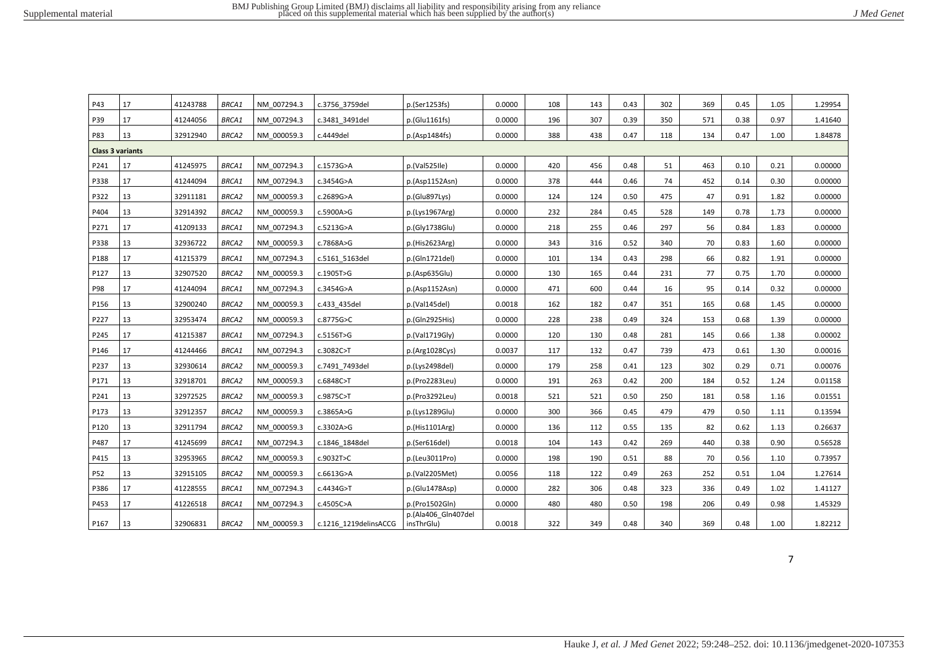| J Med Genet |  |
|-------------|--|
|-------------|--|

| P43                     | 17 | 41243788 | <b>BRCA1</b> | NM 007294.3 | c.3756 3759del        | p.(Ser1253fs)                     | 0.0000 | 108 | 143 | 0.43 | 302 | 369 | 0.45 | 1.05 | 1.29954 |
|-------------------------|----|----------|--------------|-------------|-----------------------|-----------------------------------|--------|-----|-----|------|-----|-----|------|------|---------|
| P39                     | 17 | 41244056 | <b>BRCA1</b> | NM 007294.3 | c.3481 3491del        | p.(Glu1161fs)                     | 0.0000 | 196 | 307 | 0.39 | 350 | 571 | 0.38 | 0.97 | 1.41640 |
| <b>P83</b>              | 13 | 32912940 | <b>BRCA2</b> | NM 000059.3 | c.4449del             | p.(Asp1484fs)                     | 0.0000 | 388 | 438 | 0.47 | 118 | 134 | 0.47 | 1.00 | 1.84878 |
| <b>Class 3 variants</b> |    |          |              |             |                       |                                   |        |     |     |      |     |     |      |      |         |
| P241                    | 17 | 41245975 | <b>BRCA1</b> | NM 007294.3 | c.1573G>A             | p.(Val525Ile)                     | 0.0000 | 420 | 456 | 0.48 | 51  | 463 | 0.10 | 0.21 | 0.00000 |
| P338                    | 17 | 41244094 | BRCA1        | NM 007294.3 | c.3454G>A             | p.(Asp1152Asn)                    | 0.0000 | 378 | 444 | 0.46 | 74  | 452 | 0.14 | 0.30 | 0.00000 |
| P322                    | 13 | 32911181 | BRCA2        | NM 000059.3 | c.2689G>A             | p.(Glu897Lys)                     | 0.0000 | 124 | 124 | 0.50 | 475 | 47  | 0.91 | 1.82 | 0.00000 |
| P404                    | 13 | 32914392 | <b>BRCA2</b> | NM 000059.3 | c.5900A>G             | p.(Lys1967Arg)                    | 0.0000 | 232 | 284 | 0.45 | 528 | 149 | 0.78 | 1.73 | 0.00000 |
| P271                    | 17 | 41209133 | BRCA1        | NM 007294.3 | c.5213G>A             | p.(Gly1738Glu)                    | 0.0000 | 218 | 255 | 0.46 | 297 | 56  | 0.84 | 1.83 | 0.00000 |
| P338                    | 13 | 32936722 | <b>BRCA2</b> | NM 000059.3 | c.7868A>G             | p.(His2623Arg)                    | 0.0000 | 343 | 316 | 0.52 | 340 | 70  | 0.83 | 1.60 | 0.00000 |
| P188                    | 17 | 41215379 | BRCA1        | NM 007294.3 | c.5161 5163del        | p.(Gln1721del)                    | 0.0000 | 101 | 134 | 0.43 | 298 | 66  | 0.82 | 1.91 | 0.00000 |
| P127                    | 13 | 32907520 | <b>BRCA2</b> | NM 000059.3 | c.1905T>G             | p.(Asp635Glu)                     | 0.0000 | 130 | 165 | 0.44 | 231 | 77  | 0.75 | 1.70 | 0.00000 |
| P98                     | 17 | 41244094 | <b>BRCA1</b> | NM 007294.3 | c.3454G>A             | p.(Asp1152Asn)                    | 0.0000 | 471 | 600 | 0.44 | 16  | 95  | 0.14 | 0.32 | 0.00000 |
| P156                    | 13 | 32900240 | BRCA2        | NM 000059.3 | c.433 435del          | p.(Val145del)                     | 0.0018 | 162 | 182 | 0.47 | 351 | 165 | 0.68 | 1.45 | 0.00000 |
| P227                    | 13 | 32953474 | <b>BRCA2</b> | NM 000059.3 | c.8775G>C             | p.(Gln2925His)                    | 0.0000 | 228 | 238 | 0.49 | 324 | 153 | 0.68 | 1.39 | 0.00000 |
| P245                    | 17 | 41215387 | <b>BRCA1</b> | NM 007294.3 | c.5156T>G             | p.(Val1719Gly)                    | 0.0000 | 120 | 130 | 0.48 | 281 | 145 | 0.66 | 1.38 | 0.00002 |
| P146                    | 17 | 41244466 | BRCA1        | NM 007294.3 | c.3082C>T             | p.(Arg1028Cys)                    | 0.0037 | 117 | 132 | 0.47 | 739 | 473 | 0.61 | 1.30 | 0.00016 |
| P237                    | 13 | 32930614 | <b>BRCA2</b> | NM 000059.3 | c.7491 7493del        | p.(Lys2498del)                    | 0.0000 | 179 | 258 | 0.41 | 123 | 302 | 0.29 | 0.71 | 0.00076 |
| P171                    | 13 | 32918701 | <b>BRCA2</b> | NM 000059.3 | c.6848C>T             | p.(Pro2283Leu)                    | 0.0000 | 191 | 263 | 0.42 | 200 | 184 | 0.52 | 1.24 | 0.01158 |
| P241                    | 13 | 32972525 | <b>BRCA2</b> | NM 000059.3 | c.9875C>T             | p.(Pro3292Leu)                    | 0.0018 | 521 | 521 | 0.50 | 250 | 181 | 0.58 | 1.16 | 0.01551 |
| P173                    | 13 | 32912357 | <b>BRCA2</b> | NM 000059.3 | c.3865A>G             | p.(Lys1289Glu)                    | 0.0000 | 300 | 366 | 0.45 | 479 | 479 | 0.50 | 1.11 | 0.13594 |
| P120                    | 13 | 32911794 | <b>BRCA2</b> | NM 000059.3 | c.3302A>G             | p.(His1101Arg)                    | 0.0000 | 136 | 112 | 0.55 | 135 | 82  | 0.62 | 1.13 | 0.26637 |
| P487                    | 17 | 41245699 | <b>BRCA1</b> | NM 007294.3 | c.1846 1848del        | p.(Ser616del)                     | 0.0018 | 104 | 143 | 0.42 | 269 | 440 | 0.38 | 0.90 | 0.56528 |
| P415                    | 13 | 32953965 | <b>BRCA2</b> | NM 000059.3 | c.9032T>C             | p.(Leu3011Pro)                    | 0.0000 | 198 | 190 | 0.51 | 88  | 70  | 0.56 | 1.10 | 0.73957 |
| P52                     | 13 | 32915105 | <b>BRCA2</b> | NM 000059.3 | c.6613G>A             | p.(Val2205Met)                    | 0.0056 | 118 | 122 | 0.49 | 263 | 252 | 0.51 | 1.04 | 1.27614 |
| P386                    | 17 | 41228555 | <b>BRCA1</b> | NM 007294.3 | c.4434G>T             | p.(Glu1478Asp)                    | 0.0000 | 282 | 306 | 0.48 | 323 | 336 | 0.49 | 1.02 | 1.41127 |
| P453                    | 17 | 41226518 | <b>BRCA1</b> | NM 007294.3 | c.4505C>A             | p.(Pro1502Gln)                    | 0.0000 | 480 | 480 | 0.50 | 198 | 206 | 0.49 | 0.98 | 1.45329 |
| P167                    | 13 | 32906831 | <b>BRCA2</b> | NM 000059.3 | c.1216 1219delinsACCG | p.(Ala406 Gln407del<br>insThrGlu) | 0.0018 | 322 | 349 | 0.48 | 340 | 369 | 0.48 | 1.00 | 1.82212 |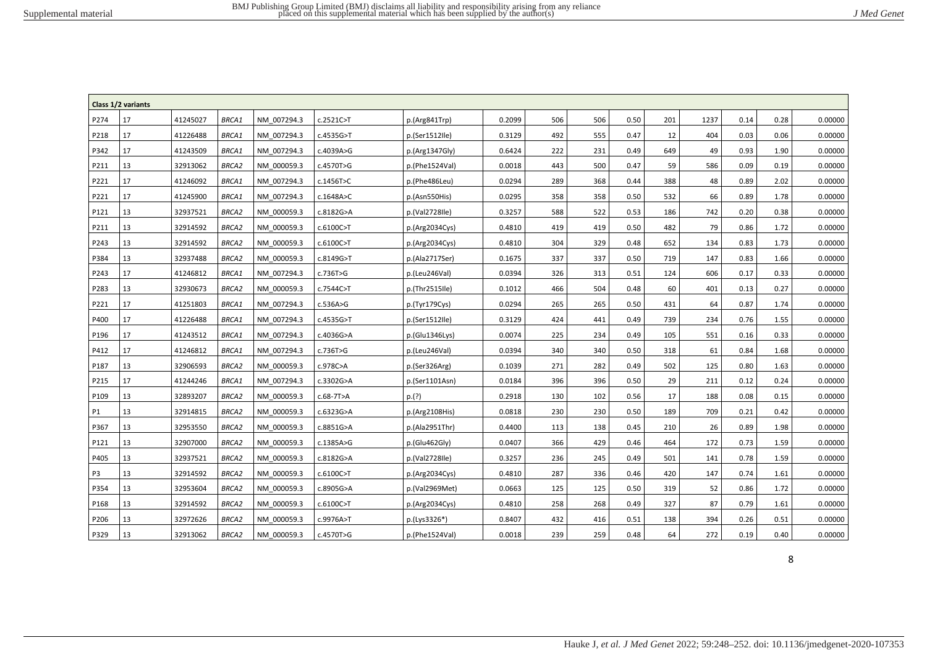|                | Class 1/2 variants |          |              |             |           |                |        |     |     |      |     |      |      |      |         |
|----------------|--------------------|----------|--------------|-------------|-----------|----------------|--------|-----|-----|------|-----|------|------|------|---------|
| P274           | 17                 | 41245027 | BRCA1        | NM 007294.3 | c.2521C>T | p.(Arg841Trp)  | 0.2099 | 506 | 506 | 0.50 | 201 | 1237 | 0.14 | 0.28 | 0.00000 |
| P218           | 17                 | 41226488 | BRCA1        | NM 007294.3 | c.4535G>T | p.(Ser1512Ile) | 0.3129 | 492 | 555 | 0.47 | 12  | 404  | 0.03 | 0.06 | 0.00000 |
| P342           | 17                 | 41243509 | BRCA1        | NM 007294.3 | c.4039A>G | p.(Arg1347Gly) | 0.6424 | 222 | 231 | 0.49 | 649 | 49   | 0.93 | 1.90 | 0.00000 |
| P211           | 13                 | 32913062 | <b>BRCA2</b> | NM 000059.3 | c.4570T>G | p.(Phe1524Val) | 0.0018 | 443 | 500 | 0.47 | 59  | 586  | 0.09 | 0.19 | 0.00000 |
| P221           | 17                 | 41246092 | BRCA1        | NM 007294.3 | c.1456T>C | p.(Phe486Leu)  | 0.0294 | 289 | 368 | 0.44 | 388 | 48   | 0.89 | 2.02 | 0.00000 |
| P221           | 17                 | 41245900 | BRCA1        | NM 007294.3 | c.1648A>C | p.(Asn550His)  | 0.0295 | 358 | 358 | 0.50 | 532 | 66   | 0.89 | 1.78 | 0.00000 |
| P121           | 13                 | 32937521 | BRCA2        | NM 000059.3 | c.8182G>A | p.(Val2728Ile) | 0.3257 | 588 | 522 | 0.53 | 186 | 742  | 0.20 | 0.38 | 0.00000 |
| P211           | 13                 | 32914592 | BRCA2        | NM 000059.3 | c.6100C>T | p.(Arg2034Cys) | 0.4810 | 419 | 419 | 0.50 | 482 | 79   | 0.86 | 1.72 | 0.00000 |
| P243           | 13                 | 32914592 | BRCA2        | NM 000059.3 | c.6100C>T | p.(Arg2034Cys) | 0.4810 | 304 | 329 | 0.48 | 652 | 134  | 0.83 | 1.73 | 0.00000 |
| P384           | 13                 | 32937488 | <b>BRCA2</b> | NM 000059.3 | c.8149G>T | p.(Ala2717Ser) | 0.1675 | 337 | 337 | 0.50 | 719 | 147  | 0.83 | 1.66 | 0.00000 |
| P243           | 17                 | 41246812 | BRCA1        | NM 007294.3 | c.736T>G  | p.(Leu246Val)  | 0.0394 | 326 | 313 | 0.51 | 124 | 606  | 0.17 | 0.33 | 0.00000 |
| P283           | 13                 | 32930673 | BRCA2        | NM 000059.3 | c.7544C>T | p.(Thr2515Ile) | 0.1012 | 466 | 504 | 0.48 | 60  | 401  | 0.13 | 0.27 | 0.00000 |
| P221           | 17                 | 41251803 | BRCA1        | NM 007294.3 | c.536A>G  | p.(Tyr179Cys)  | 0.0294 | 265 | 265 | 0.50 | 431 | 64   | 0.87 | 1.74 | 0.00000 |
| P400           | 17                 | 41226488 | BRCA1        | NM 007294.3 | c.4535G>T | p.(Ser1512Ile) | 0.3129 | 424 | 441 | 0.49 | 739 | 234  | 0.76 | 1.55 | 0.00000 |
| P196           | 17                 | 41243512 | <b>BRCA1</b> | NM 007294.3 | c.4036G>A | p.(Glu1346Lys) | 0.0074 | 225 | 234 | 0.49 | 105 | 551  | 0.16 | 0.33 | 0.00000 |
| P412           | 17                 | 41246812 | <b>BRCA1</b> | NM 007294.3 | c.736T>G  | p.(Leu246Val)  | 0.0394 | 340 | 340 | 0.50 | 318 | 61   | 0.84 | 1.68 | 0.00000 |
| P187           | 13                 | 32906593 | BRCA2        | NM 000059.3 | c.978C>A  | p.(Ser326Arg)  | 0.1039 | 271 | 282 | 0.49 | 502 | 125  | 0.80 | 1.63 | 0.00000 |
| P215           | 17                 | 41244246 | <b>BRCA1</b> | NM 007294.3 | c.3302G>A | p.(Ser1101Asn) | 0.0184 | 396 | 396 | 0.50 | 29  | 211  | 0.12 | 0.24 | 0.00000 |
| P109           | 13                 | 32893207 | BRCA2        | NM 000059.3 | c.68-7T>A | p.(?)          | 0.2918 | 130 | 102 | 0.56 | 17  | 188  | 0.08 | 0.15 | 0.00000 |
| P1             | 13                 | 32914815 | BRCA2        | NM 000059.3 | c.6323G>A | p.(Arg2108His) | 0.0818 | 230 | 230 | 0.50 | 189 | 709  | 0.21 | 0.42 | 0.00000 |
| P367           | 13                 | 32953550 | BRCA2        | NM 000059.3 | c.8851G>A | p.(Ala2951Thr) | 0.4400 | 113 | 138 | 0.45 | 210 | 26   | 0.89 | 1.98 | 0.00000 |
| P121           | 13                 | 32907000 | BRCA2        | NM 000059.3 | c.1385A>G | p.(Glu462Gly)  | 0.0407 | 366 | 429 | 0.46 | 464 | 172  | 0.73 | 1.59 | 0.00000 |
| P405           | 13                 | 32937521 | <b>BRCA2</b> | NM 000059.3 | c.8182G>A | p.(Val2728Ile) | 0.3257 | 236 | 245 | 0.49 | 501 | 141  | 0.78 | 1.59 | 0.00000 |
| P <sub>3</sub> | 13                 | 32914592 | <b>BRCA2</b> | NM 000059.3 | c.6100C>T | p.(Arg2034Cys) | 0.4810 | 287 | 336 | 0.46 | 420 | 147  | 0.74 | 1.61 | 0.00000 |
| P354           | 13                 | 32953604 | BRCA2        | NM 000059.3 | c.8905G>A | p.(Val2969Met) | 0.0663 | 125 | 125 | 0.50 | 319 | 52   | 0.86 | 1.72 | 0.00000 |
| P168           | 13                 | 32914592 | <b>BRCA2</b> | NM 000059.3 | c.6100C>T | p.(Arg2034Cys) | 0.4810 | 258 | 268 | 0.49 | 327 | 87   | 0.79 | 1.61 | 0.00000 |
| P206           | 13                 | 32972626 | BRCA2        | NM 000059.3 | c.9976A>T | p.(Lys3326*)   | 0.8407 | 432 | 416 | 0.51 | 138 | 394  | 0.26 | 0.51 | 0.00000 |
| P329           | 13                 | 32913062 | <b>BRCA2</b> | NM 000059.3 | c.4570T>G | p.(Phe1524Val) | 0.0018 | 239 | 259 | 0.48 | 64  | 272  | 0.19 | 0.40 | 0.00000 |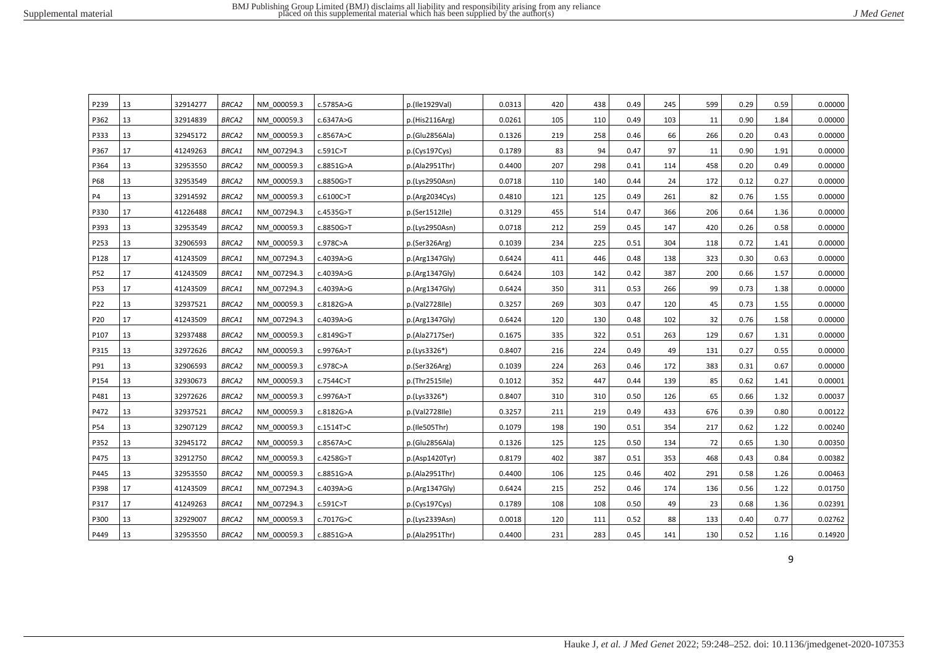| P239       | 13 | 32914277 | <b>BRCA2</b> | NM 000059.3 | c.5785A>G | p.(Ile1929Val) | 0.0313 | 420 | 438 | 0.49 | 245 | 599 | 0.29 | 0.59 | 0.00000 |
|------------|----|----------|--------------|-------------|-----------|----------------|--------|-----|-----|------|-----|-----|------|------|---------|
| P362       | 13 | 32914839 | <b>BRCA2</b> | NM 000059.3 | c.6347A>G | p.(His2116Arg) | 0.0261 | 105 | 110 | 0.49 | 103 | 11  | 0.90 | 1.84 | 0.00000 |
| P333       | 13 | 32945172 | <b>BRCA2</b> | NM 000059.3 | c.8567A>C | p.(Glu2856Ala) | 0.1326 | 219 | 258 | 0.46 | 66  | 266 | 0.20 | 0.43 | 0.00000 |
| P367       | 17 | 41249263 | <b>BRCA1</b> | NM 007294.3 | c.591C>T  | p.(Cvs197Cvs)  | 0.1789 | 83  | 94  | 0.47 | 97  | 11  | 0.90 | 1.91 | 0.00000 |
| P364       | 13 | 32953550 | <b>BRCA2</b> | NM 000059.3 | c.8851G>A | p.(Ala2951Thr) | 0.4400 | 207 | 298 | 0.41 | 114 | 458 | 0.20 | 0.49 | 0.00000 |
| P68        | 13 | 32953549 | <b>BRCA2</b> | NM 000059.3 | c.8850G>T | p.(Lys2950Asn) | 0.0718 | 110 | 140 | 0.44 | 24  | 172 | 0.12 | 0.27 | 0.00000 |
| <b>P4</b>  | 13 | 32914592 | <b>BRCA2</b> | NM 000059.3 | c.6100C>T | p.(Arg2034Cys) | 0.4810 | 121 | 125 | 0.49 | 261 | 82  | 0.76 | 1.55 | 0.00000 |
| P330       | 17 | 41226488 | <b>BRCA1</b> | NM 007294.3 | c.4535G>T | p.(Ser1512Ile) | 0.3129 | 455 | 514 | 0.47 | 366 | 206 | 0.64 | 1.36 | 0.00000 |
| P393       | 13 | 32953549 | <b>BRCA2</b> | NM 000059.3 | c.8850G>T | p.(Lys2950Asn) | 0.0718 | 212 | 259 | 0.45 | 147 | 420 | 0.26 | 0.58 | 0.00000 |
| P253       | 13 | 32906593 | <b>BRCA2</b> | NM 000059.3 | c.978C>A  | p.(Ser326Arg)  | 0.1039 | 234 | 225 | 0.51 | 304 | 118 | 0.72 | 1.41 | 0.00000 |
| P128       | 17 | 41243509 | <b>BRCA1</b> | NM 007294.3 | c.4039A>G | p.(Arg1347Gly) | 0.6424 | 411 | 446 | 0.48 | 138 | 323 | 0.30 | 0.63 | 0.00000 |
| P52        | 17 | 41243509 | BRCA1        | NM 007294.3 | c.4039A>G | p.(Arg1347Gly) | 0.6424 | 103 | 142 | 0.42 | 387 | 200 | 0.66 | 1.57 | 0.00000 |
| <b>P53</b> | 17 | 41243509 | BRCA1        | NM 007294.3 | c.4039A>G | p.(Arg1347Gly) | 0.6424 | 350 | 311 | 0.53 | 266 | 99  | 0.73 | 1.38 | 0.00000 |
| P22        | 13 | 32937521 | <b>BRCA2</b> | NM 000059.3 | c.8182G>A | p.(Val2728Ile) | 0.3257 | 269 | 303 | 0.47 | 120 | 45  | 0.73 | 1.55 | 0.00000 |
| P20        | 17 | 41243509 | BRCA1        | NM 007294.3 | c.4039A>G | p.(Arg1347Gly) | 0.6424 | 120 | 130 | 0.48 | 102 | 32  | 0.76 | 1.58 | 0.00000 |
| P107       | 13 | 32937488 | <b>BRCA2</b> | NM 000059.3 | c.8149G>T | p.(Ala2717Ser) | 0.1675 | 335 | 322 | 0.51 | 263 | 129 | 0.67 | 1.31 | 0.00000 |
| P315       | 13 | 32972626 | <b>BRCA2</b> | NM 000059.3 | c.9976A>T | p.(Lys3326*)   | 0.8407 | 216 | 224 | 0.49 | 49  | 131 | 0.27 | 0.55 | 0.00000 |
| P91        | 13 | 32906593 | <b>BRCA2</b> | NM 000059.3 | c.978C>A  | p.(Ser326Arg)  | 0.1039 | 224 | 263 | 0.46 | 172 | 383 | 0.31 | 0.67 | 0.00000 |
| P154       | 13 | 32930673 | <b>BRCA2</b> | NM 000059.3 | c.7544C>T | p.(Thr2515Ile) | 0.1012 | 352 | 447 | 0.44 | 139 | 85  | 0.62 | 1.41 | 0.00001 |
| P481       | 13 | 32972626 | <b>BRCA2</b> | NM 000059.3 | c.9976A>T | p.(Lys3326*)   | 0.8407 | 310 | 310 | 0.50 | 126 | 65  | 0.66 | 1.32 | 0.00037 |
| P472       | 13 | 32937521 | <b>BRCA2</b> | NM 000059.3 | c.8182G>A | p.(Val2728Ile) | 0.3257 | 211 | 219 | 0.49 | 433 | 676 | 0.39 | 0.80 | 0.00122 |
| P54        | 13 | 32907129 | <b>BRCA2</b> | NM 000059.3 | c.1514T>C | p.(Ile505Thr)  | 0.1079 | 198 | 190 | 0.51 | 354 | 217 | 0.62 | 1.22 | 0.00240 |
| P352       | 13 | 32945172 | <b>BRCA2</b> | NM 000059.3 | c.8567A>C | p.(Glu2856Ala) | 0.1326 | 125 | 125 | 0.50 | 134 | 72  | 0.65 | 1.30 | 0.00350 |
| P475       | 13 | 32912750 | <b>BRCA2</b> | NM 000059.3 | c.4258G>T | p.(Asp1420Tyr) | 0.8179 | 402 | 387 | 0.51 | 353 | 468 | 0.43 | 0.84 | 0.00382 |
| P445       | 13 | 32953550 | <b>BRCA2</b> | NM 000059.3 | c.8851G>A | p.(Ala2951Thr) | 0.4400 | 106 | 125 | 0.46 | 402 | 291 | 0.58 | 1.26 | 0.00463 |
| P398       | 17 | 41243509 | BRCA1        | NM 007294.3 | c.4039A>G | p.(Arg1347Gly) | 0.6424 | 215 | 252 | 0.46 | 174 | 136 | 0.56 | 1.22 | 0.01750 |
| P317       | 17 | 41249263 | BRCA1        | NM 007294.3 | c.591C>T  | p.(Cys197Cys)  | 0.1789 | 108 | 108 | 0.50 | 49  | 23  | 0.68 | 1.36 | 0.02391 |
| P300       | 13 | 32929007 | <b>BRCA2</b> | NM 000059.3 | c.7017G>C | p.(Lys2339Asn) | 0.0018 | 120 | 111 | 0.52 | 88  | 133 | 0.40 | 0.77 | 0.02762 |
| P449       | 13 | 32953550 | BRCA2        | NM 000059.3 | c.8851G>A | p.(Ala2951Thr) | 0.4400 | 231 | 283 | 0.45 | 141 | 130 | 0.52 | 1.16 | 0.14920 |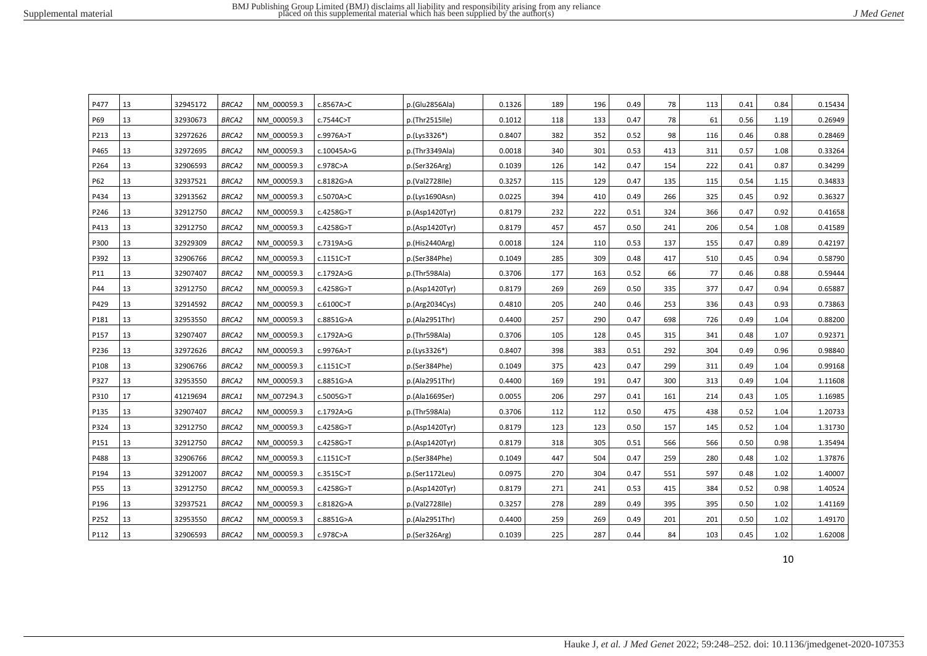| J Med Genet |  |  |  |
|-------------|--|--|--|
|-------------|--|--|--|

| P477 | 13 | 32945172 | <b>BRCA2</b> | NM 000059.3 | c.8567A>C    | p.(Glu2856Ala) | 0.1326 | 189 | 196 | 0.49 | 78  | 113 | 0.41 | 0.84 | 0.15434 |
|------|----|----------|--------------|-------------|--------------|----------------|--------|-----|-----|------|-----|-----|------|------|---------|
| P69  | 13 | 32930673 | <b>BRCA2</b> | NM 000059.3 | c.7544C>T    | p.(Thr2515Ile) | 0.1012 | 118 | 133 | 0.47 | 78  | 61  | 0.56 | 1.19 | 0.26949 |
| P213 | 13 | 32972626 | <b>BRCA2</b> | NM 000059.3 | c.9976A>T    | p.(Lys3326*)   | 0.8407 | 382 | 352 | 0.52 | 98  | 116 | 0.46 | 0.88 | 0.28469 |
| P465 | 13 | 32972695 | <b>BRCA2</b> | NM 000059.3 | c.10045A>G   | p.(Thr3349Ala) | 0.0018 | 340 | 301 | 0.53 | 413 | 311 | 0.57 | 1.08 | 0.33264 |
| P264 | 13 | 32906593 | <b>BRCA2</b> | NM 000059.3 | c.978C>A     | p.(Ser326Arg)  | 0.1039 | 126 | 142 | 0.47 | 154 | 222 | 0.41 | 0.87 | 0.34299 |
| P62  | 13 | 32937521 | <b>BRCA2</b> | NM 000059.3 | c.8182G>A    | p.(Val2728Ile) | 0.3257 | 115 | 129 | 0.47 | 135 | 115 | 0.54 | 1.15 | 0.34833 |
| P434 | 13 | 32913562 | <b>BRCA2</b> | NM 000059.3 | c.5070A>C    | p.(Lys1690Asn) | 0.0225 | 394 | 410 | 0.49 | 266 | 325 | 0.45 | 0.92 | 0.36327 |
| P246 | 13 | 32912750 | <b>BRCA2</b> | NM 000059.3 | c.4258G>T    | p.(Asp1420Tyr) | 0.8179 | 232 | 222 | 0.51 | 324 | 366 | 0.47 | 0.92 | 0.41658 |
| P413 | 13 | 32912750 | <b>BRCA2</b> | NM 000059.3 | c.4258G>T    | p.(Asp1420Tyr) | 0.8179 | 457 | 457 | 0.50 | 241 | 206 | 0.54 | 1.08 | 0.41589 |
| P300 | 13 | 32929309 | <b>BRCA2</b> | NM 000059.3 | c.7319A>G    | p.(His2440Arg) | 0.0018 | 124 | 110 | 0.53 | 137 | 155 | 0.47 | 0.89 | 0.42197 |
| P392 | 13 | 32906766 | <b>BRCA2</b> | NM 000059.3 | $c.1151C>$ T | p.(Ser384Phe)  | 0.1049 | 285 | 309 | 0.48 | 417 | 510 | 0.45 | 0.94 | 0.58790 |
| P11  | 13 | 32907407 | <b>BRCA2</b> | NM 000059.3 | c.1792A>G    | p.(Thr598Ala)  | 0.3706 | 177 | 163 | 0.52 | 66  | 77  | 0.46 | 0.88 | 0.59444 |
| P44  | 13 | 32912750 | <b>BRCA2</b> | NM 000059.3 | c.4258G>T    | p.(Asp1420Tyr) | 0.8179 | 269 | 269 | 0.50 | 335 | 377 | 0.47 | 0.94 | 0.65887 |
| P429 | 13 | 32914592 | <b>BRCA2</b> | NM 000059.3 | c.6100C>T    | p.(Arg2034Cys) | 0.4810 | 205 | 240 | 0.46 | 253 | 336 | 0.43 | 0.93 | 0.73863 |
| P181 | 13 | 32953550 | <b>BRCA2</b> | NM 000059.3 | c.8851G>A    | p.(Ala2951Thr) | 0.4400 | 257 | 290 | 0.47 | 698 | 726 | 0.49 | 1.04 | 0.88200 |
| P157 | 13 | 32907407 | <b>BRCA2</b> | NM 000059.3 | c.1792A>G    | p.(Thr598Ala)  | 0.3706 | 105 | 128 | 0.45 | 315 | 341 | 0.48 | 1.07 | 0.92371 |
| P236 | 13 | 32972626 | <b>BRCA2</b> | NM 000059.3 | c.9976A>T    | p.(Lys3326*)   | 0.8407 | 398 | 383 | 0.51 | 292 | 304 | 0.49 | 0.96 | 0.98840 |
| P108 | 13 | 32906766 | <b>BRCA2</b> | NM 000059.3 | $c.1151C>$ T | p.(Ser384Phe)  | 0.1049 | 375 | 423 | 0.47 | 299 | 311 | 0.49 | 1.04 | 0.99168 |
| P327 | 13 | 32953550 | <b>BRCA2</b> | NM 000059.3 | c.8851G>A    | p.(Ala2951Thr) | 0.4400 | 169 | 191 | 0.47 | 300 | 313 | 0.49 | 1.04 | 1.11608 |
| P310 | 17 | 41219694 | BRCA1        | NM 007294.3 | c.5005G>T    | p.(Ala1669Ser) | 0.0055 | 206 | 297 | 0.41 | 161 | 214 | 0.43 | 1.05 | 1.16985 |
| P135 | 13 | 32907407 | <b>BRCA2</b> | NM 000059.3 | c.1792A>G    | p.(Thr598Ala)  | 0.3706 | 112 | 112 | 0.50 | 475 | 438 | 0.52 | 1.04 | 1.20733 |
| P324 | 13 | 32912750 | <b>BRCA2</b> | NM 000059.3 | c.4258G>T    | p.(Asp1420Tyr) | 0.8179 | 123 | 123 | 0.50 | 157 | 145 | 0.52 | 1.04 | 1.31730 |
| P151 | 13 | 32912750 | <b>BRCA2</b> | NM 000059.3 | c.4258G>T    | p.(Asp1420Tyr) | 0.8179 | 318 | 305 | 0.51 | 566 | 566 | 0.50 | 0.98 | 1.35494 |
| P488 | 13 | 32906766 | <b>BRCA2</b> | NM 000059.3 | $c.1151C>$ T | p.(Ser384Phe)  | 0.1049 | 447 | 504 | 0.47 | 259 | 280 | 0.48 | 1.02 | 1.37876 |
| P194 | 13 | 32912007 | <b>BRCA2</b> | NM 000059.3 | c.3515C>T    | p.(Ser1172Leu) | 0.0975 | 270 | 304 | 0.47 | 551 | 597 | 0.48 | 1.02 | 1.40007 |
| P55  | 13 | 32912750 | <b>BRCA2</b> | NM 000059.3 | c.4258G>T    | p.(Asp1420Tyr) | 0.8179 | 271 | 241 | 0.53 | 415 | 384 | 0.52 | 0.98 | 1.40524 |
| P196 | 13 | 32937521 | <b>BRCA2</b> | NM 000059.3 | c.8182G>A    | p.(Val2728Ile) | 0.3257 | 278 | 289 | 0.49 | 395 | 395 | 0.50 | 1.02 | 1.41169 |
| P252 | 13 | 32953550 | <b>BRCA2</b> | NM 000059.3 | c.8851G>A    | p.(Ala2951Thr) | 0.4400 | 259 | 269 | 0.49 | 201 | 201 | 0.50 | 1.02 | 1.49170 |
| P112 | 13 | 32906593 | <b>BRCA2</b> | NM 000059.3 | c.978C>A     | p.(Ser326Arg)  | 0.1039 | 225 | 287 | 0.44 | 84  | 103 | 0.45 | 1.02 | 1.62008 |